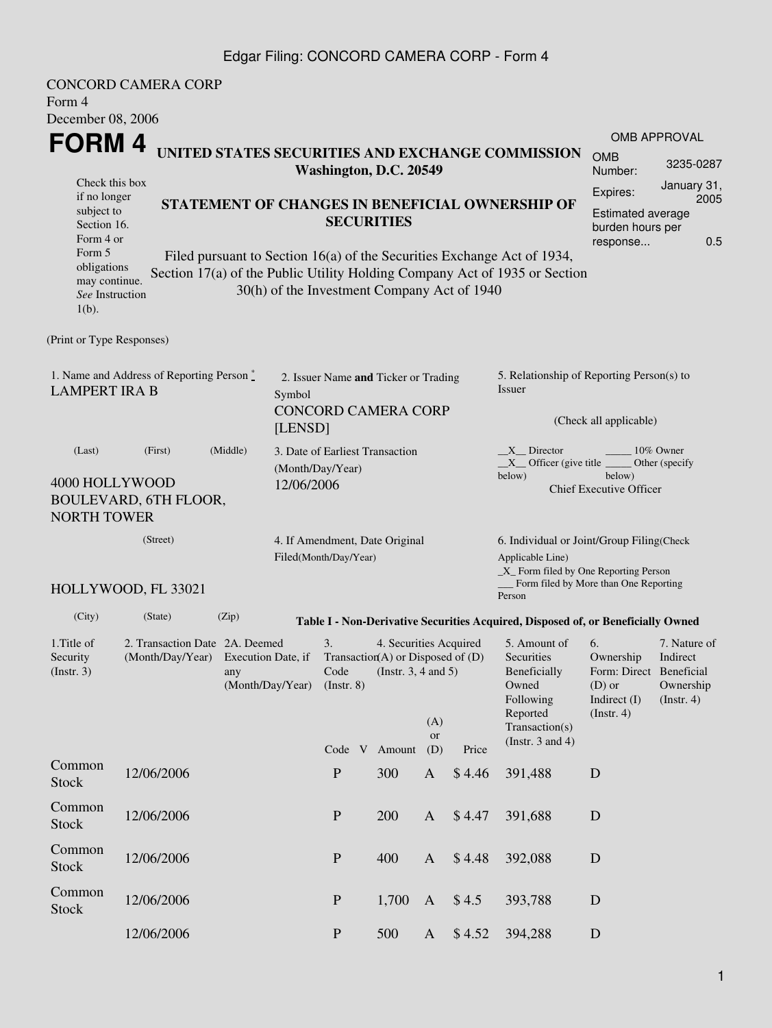### Edgar Filing: CONCORD CAMERA CORP - Form 4

| Form 4                                                                     | <b>CONCORD CAMERA CORP</b>                |                         |                  |                                                                                      |                                             |                     |                 |                                                                                              |                                                     |                          |  |  |
|----------------------------------------------------------------------------|-------------------------------------------|-------------------------|------------------|--------------------------------------------------------------------------------------|---------------------------------------------|---------------------|-----------------|----------------------------------------------------------------------------------------------|-----------------------------------------------------|--------------------------|--|--|
| December 08, 2006                                                          |                                           |                         |                  |                                                                                      |                                             |                     |                 |                                                                                              |                                                     |                          |  |  |
| FORM 4                                                                     |                                           |                         |                  |                                                                                      |                                             |                     |                 |                                                                                              |                                                     | <b>OMB APPROVAL</b>      |  |  |
| UNITED STATES SECURITIES AND EXCHANGE COMMISSION<br>Washington, D.C. 20549 |                                           |                         |                  |                                                                                      |                                             |                     |                 |                                                                                              | <b>OMB</b><br>Number:                               | 3235-0287                |  |  |
| Check this box<br>if no longer                                             |                                           |                         |                  |                                                                                      |                                             |                     |                 |                                                                                              | Expires:                                            | January 31,<br>2005      |  |  |
| STATEMENT OF CHANGES IN BENEFICIAL OWNERSHIP OF<br>subject to              |                                           |                         |                  |                                                                                      |                                             |                     |                 |                                                                                              | Estimated average                                   |                          |  |  |
| <b>SECURITIES</b><br>Section 16.<br>Form 4 or                              |                                           |                         |                  |                                                                                      |                                             |                     |                 | burden hours per                                                                             |                                                     |                          |  |  |
| Form 5                                                                     |                                           |                         |                  |                                                                                      |                                             |                     |                 | Filed pursuant to Section 16(a) of the Securities Exchange Act of 1934,                      | response                                            | 0.5                      |  |  |
| obligations<br>may continue.<br>See Instruction<br>$1(b)$ .                |                                           |                         |                  |                                                                                      | 30(h) of the Investment Company Act of 1940 |                     |                 | Section 17(a) of the Public Utility Holding Company Act of 1935 or Section                   |                                                     |                          |  |  |
| (Print or Type Responses)                                                  |                                           |                         |                  |                                                                                      |                                             |                     |                 |                                                                                              |                                                     |                          |  |  |
|                                                                            | 1. Name and Address of Reporting Person * |                         |                  |                                                                                      | 2. Issuer Name and Ticker or Trading        |                     |                 | 5. Relationship of Reporting Person(s) to                                                    |                                                     |                          |  |  |
| <b>LAMPERT IRA B</b>                                                       |                                           |                         | Symbol           |                                                                                      |                                             |                     |                 | Issuer                                                                                       |                                                     |                          |  |  |
| [LENSD]                                                                    |                                           |                         |                  |                                                                                      | <b>CONCORD CAMERA CORP</b>                  |                     |                 | (Check all applicable)                                                                       |                                                     |                          |  |  |
| (Last)                                                                     | (First)                                   | (Middle)                | (Month/Day/Year) | 3. Date of Earliest Transaction                                                      |                                             |                     |                 | $X$ Director<br>10% Owner<br>$X$ Officer (give title $\_\_\_\$ Other (specify                |                                                     |                          |  |  |
| 4000 HOLLYWOOD<br><b>NORTH TOWER</b>                                       | <b>BOULEVARD, 6TH FLOOR,</b>              |                         | 12/06/2006       |                                                                                      |                                             |                     |                 | below)                                                                                       | below)<br><b>Chief Executive Officer</b>            |                          |  |  |
|                                                                            | (Street)                                  |                         |                  |                                                                                      | 4. If Amendment, Date Original              |                     |                 |                                                                                              |                                                     |                          |  |  |
| Filed(Month/Day/Year)                                                      |                                           |                         |                  |                                                                                      |                                             |                     |                 | 6. Individual or Joint/Group Filing(Check<br>Applicable Line)                                |                                                     |                          |  |  |
|                                                                            | HOLLYWOOD, FL 33021                       |                         |                  |                                                                                      |                                             |                     |                 | _X_ Form filed by One Reporting Person<br>__ Form filed by More than One Reporting<br>Person |                                                     |                          |  |  |
| (City)                                                                     | (State)                                   | (Zip)                   |                  |                                                                                      |                                             |                     |                 | Table I - Non-Derivative Securities Acquired, Disposed of, or Beneficially Owned             |                                                     |                          |  |  |
| 1. Title of                                                                | 2. Transaction Date 2A. Deemed            |                         |                  | 3.                                                                                   | 4. Securities Acquired                      |                     |                 | 5. Amount of                                                                                 | 6.                                                  | 7. Nature of             |  |  |
| Security                                                                   | (Month/Day/Year)                          | Execution Date, if      |                  | Transaction(A) or Disposed of (D)<br>Code<br>(Instr. 3, 4 and 5)<br>$($ Instr. 8 $)$ |                                             |                     |                 | Securities                                                                                   | Ownership                                           | Indirect                 |  |  |
| (Instr. 3)                                                                 |                                           | any<br>(Month/Day/Year) |                  |                                                                                      |                                             |                     |                 | Beneficially<br>Owned                                                                        | Form: Direct Beneficial<br>$(D)$ or<br>Indirect (I) | Ownership<br>(Insert. 4) |  |  |
|                                                                            |                                           |                         |                  |                                                                                      |                                             |                     |                 | Following                                                                                    |                                                     |                          |  |  |
|                                                                            |                                           |                         |                  |                                                                                      |                                             | (A)                 |                 | Reported<br>Transaction(s)                                                                   | (Insert. 4)                                         |                          |  |  |
|                                                                            |                                           |                         |                  |                                                                                      |                                             | <b>or</b>           |                 | (Instr. $3$ and $4$ )                                                                        |                                                     |                          |  |  |
| Common                                                                     | 12/06/2006                                |                         |                  | ${\bf P}$                                                                            | Code V Amount<br>300                        | (D)<br>$\mathbf{A}$ | Price<br>\$4.46 | 391,488                                                                                      | D                                                   |                          |  |  |
| <b>Stock</b>                                                               |                                           |                         |                  |                                                                                      |                                             |                     |                 |                                                                                              |                                                     |                          |  |  |
| Common<br><b>Stock</b>                                                     | 12/06/2006                                |                         |                  | ${\bf P}$                                                                            | 200                                         | $\mathbf{A}$        | \$4.47          | 391,688                                                                                      | D                                                   |                          |  |  |
| Common<br><b>Stock</b>                                                     | 12/06/2006                                |                         |                  | ${\bf P}$                                                                            | 400                                         | $\mathbf{A}$        | \$4.48          | 392,088                                                                                      | D                                                   |                          |  |  |
| Common<br><b>Stock</b>                                                     | 12/06/2006                                |                         |                  | ${\bf P}$                                                                            | 1,700                                       | $\mathbf{A}$        | \$4.5           | 393,788                                                                                      | $\mathbf D$                                         |                          |  |  |
|                                                                            | 12/06/2006                                |                         |                  | ${\bf P}$                                                                            | 500                                         | A                   | \$4.52          | 394,288                                                                                      | D                                                   |                          |  |  |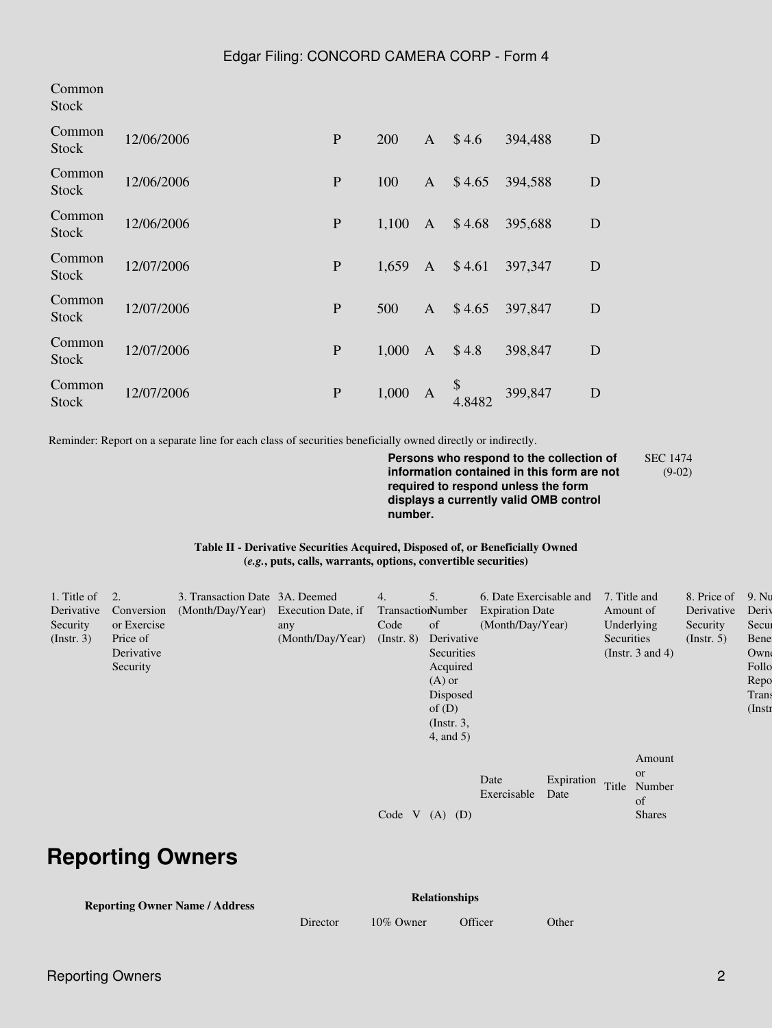| Common<br><b>Stock</b> |            |             |       |              |              |         |   |
|------------------------|------------|-------------|-------|--------------|--------------|---------|---|
| Common<br><b>Stock</b> | 12/06/2006 | ${\bf P}$   | 200   | A            | \$4.6        | 394,488 | D |
| Common<br><b>Stock</b> | 12/06/2006 | P           | 100   | $\mathbf{A}$ | \$4.65       | 394,588 | D |
| Common<br><b>Stock</b> | 12/06/2006 | ${\bf P}$   | 1,100 | A            | \$4.68       | 395,688 | D |
| Common<br><b>Stock</b> | 12/07/2006 | $\mathbf P$ | 1,659 | A            | \$4.61       | 397,347 | D |
| Common<br>Stock        | 12/07/2006 | P           | 500   | $\mathbf{A}$ | \$4.65       | 397,847 | D |
| Common<br><b>Stock</b> | 12/07/2006 | $\mathbf P$ | 1,000 | A            | \$4.8        | 398,847 | D |
| Common<br><b>Stock</b> | 12/07/2006 | ${\bf P}$   | 1,000 | A            | \$<br>4.8482 | 399,847 | D |

Reminder: Report on a separate line for each class of securities beneficially owned directly or indirectly.

**Persons who respond to the collection of information contained in this form are not required to respond unless the form displays a currently valid OMB control number.** SEC 1474

(9-02)

#### **Table II - Derivative Securities Acquired, Disposed of, or Beneficially Owned (***e.g.***, puts, calls, warrants, options, convertible securities)**

| 1. Title of<br>Derivative<br>Security<br>(Insert. 3) | $\overline{2}$ .<br>Conversion<br>or Exercise<br>Price of<br>Derivative<br>Security | 3. Transaction Date 3A. Deemed<br>(Month/Day/Year) Execution Date, if | any<br>(Month/Day/Year) | 4.<br>TransactionNumber<br>Code<br>$($ Instr. $8)$ | 5.<br>of<br>Derivative<br>Securities<br>Acquired<br>$(A)$ or<br>Disposed<br>of $(D)$<br>$($ Instr. 3,<br>$4$ , and $5$ ) | 6. Date Exercisable and<br><b>Expiration Date</b><br>(Month/Day/Year) |                    | 7. Title and<br>Amount of<br>Securities | Underlying<br>(Instr. $3$ and $4$ )                  | 8. Price of<br>Derivative<br>Security<br>(Insert, 5) | 9. Nu<br>Deriy<br>Secur<br>Bene<br>Owne<br>Follo<br>Repo<br>Trans<br>$($ Instr |
|------------------------------------------------------|-------------------------------------------------------------------------------------|-----------------------------------------------------------------------|-------------------------|----------------------------------------------------|--------------------------------------------------------------------------------------------------------------------------|-----------------------------------------------------------------------|--------------------|-----------------------------------------|------------------------------------------------------|------------------------------------------------------|--------------------------------------------------------------------------------|
|                                                      |                                                                                     |                                                                       |                         | Code<br>V                                          | (D)<br>(A)                                                                                                               | Date<br>Exercisable                                                   | Expiration<br>Date | Title                                   | Amount<br><b>or</b><br>Number<br>of<br><b>Shares</b> |                                                      |                                                                                |

# **Reporting Owners**

| <b>Reporting Owner Name / Address</b> | <b>Relationships</b> |              |         |       |  |  |  |  |
|---------------------------------------|----------------------|--------------|---------|-------|--|--|--|--|
|                                       | Director             | $10\%$ Owner | Officer | Other |  |  |  |  |